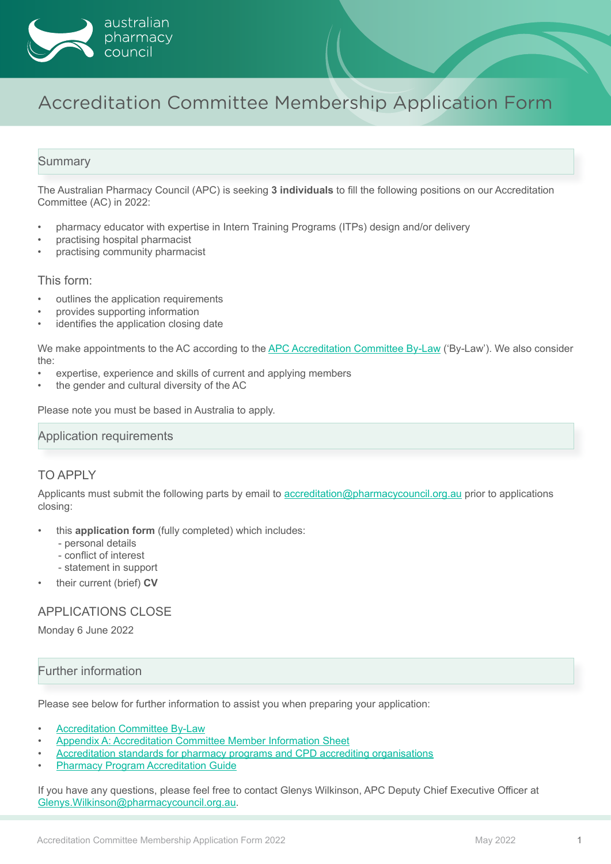

# Accreditation Committee Membership Application Form

## **Summary**

The Australian Pharmacy Council (APC) is seeking **3 individuals** to fill the following positions on our Accreditation Committee (AC) in 2022:

- pharmacy educator with expertise in Intern Training Programs (ITPs) design and/or delivery
- practising hospital pharmacist
- practising community pharmacist

This form:

- outlines the application requirements
- provides supporting information
- identifies the application closing date

We make appointments to the AC according to the [APC Accreditation Committee By-Law](https://www.pharmacycouncil.org.au/who-we-are/governance/accreditation-committee/) ('By-Law'). We also consider the:

- expertise, experience and skills of current and applying members
- the gender and cultural diversity of the AC

Please note you must be based in Australia to apply.

#### Application requirements

### TO APPLY

Applicants must submit the following parts by email to [accreditation@pharmacycouncil.org.au](mailto:accreditation%40pharmacycouncil.org.au?subject=) prior to applications closing:

- this **application form** (fully completed) which includes:
	- personal details
	- conflict of interest
	- statement in support
- their current (brief) **CV**

### APPLICATIONS CLOSE

Monday 6 June 2022

## Further information

Please see below for further information to assist you when preparing your application:

- **[Accreditation Committee By-Law](https://www.pharmacycouncil.org.au/who-we-are/governance/accreditation-committee/)**
- [Appendix A: Accreditation C](#page-3-0)ommittee Member Information Sheet
- [Accreditation standards for pharmacy programs and CPD accrediting organisations](https://www.pharmacycouncil.org.au/education-provider/standards/)
- **[Pharmacy Program Accreditation Guide](https://www.pharmacycouncil.org.au/resources/Pharmacy-Program-Accreditation-Guide)**

If you have any questions, please feel free to contact Glenys Wilkinson, APC Deputy Chief Executive Officer at [Glenys.Wilkinson@pharmacycouncil.org.au.](mailto:Glenys.Wilkinson%40pharmacycouncil.org.au?subject=)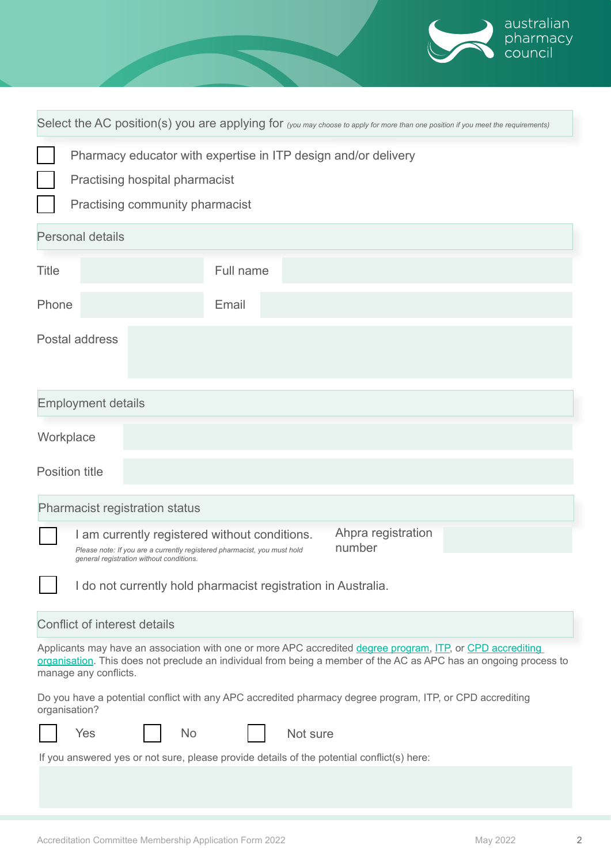|                                                                                                                                                                                                                                                          |           |                              | australian<br>pharmacy<br>council |  |
|----------------------------------------------------------------------------------------------------------------------------------------------------------------------------------------------------------------------------------------------------------|-----------|------------------------------|-----------------------------------|--|
|                                                                                                                                                                                                                                                          |           |                              |                                   |  |
| Select the AC position(s) you are applying for (you may choose to apply for more than one position if you meet the requirements)                                                                                                                         |           |                              |                                   |  |
| Pharmacy educator with expertise in ITP design and/or delivery                                                                                                                                                                                           |           |                              |                                   |  |
| Practising hospital pharmacist                                                                                                                                                                                                                           |           |                              |                                   |  |
| Practising community pharmacist                                                                                                                                                                                                                          |           |                              |                                   |  |
| <b>Personal details</b>                                                                                                                                                                                                                                  |           |                              |                                   |  |
| <b>Title</b>                                                                                                                                                                                                                                             | Full name |                              |                                   |  |
| Phone                                                                                                                                                                                                                                                    | Email     |                              |                                   |  |
| Postal address                                                                                                                                                                                                                                           |           |                              |                                   |  |
| <b>Employment details</b>                                                                                                                                                                                                                                |           |                              |                                   |  |
| Workplace                                                                                                                                                                                                                                                |           |                              |                                   |  |
| <b>Position title</b>                                                                                                                                                                                                                                    |           |                              |                                   |  |
| <b>Pharmacist registration status</b>                                                                                                                                                                                                                    |           |                              |                                   |  |
| I am currently registered without conditions.<br>Please note: If you are a currently registered pharmacist, you must hold<br>general registration without conditions.                                                                                    |           | Ahpra registration<br>number |                                   |  |
| I do not currently hold pharmacist registration in Australia.                                                                                                                                                                                            |           |                              |                                   |  |
| <b>Conflict of interest details</b>                                                                                                                                                                                                                      |           |                              |                                   |  |
| Applicants may have an association with one or more APC accredited degree program, ITP, or CPD accrediting<br>organisation. This does not preclude an individual from being a member of the AC as APC has an ongoing process to<br>manage any conflicts. |           |                              |                                   |  |
| Do you have a potential conflict with any APC accredited pharmacy degree program, ITP, or CPD accrediting<br>organisation?                                                                                                                               |           |                              |                                   |  |
| Yes<br>Not sure<br><b>No</b>                                                                                                                                                                                                                             |           |                              |                                   |  |
| If you answered yes or not sure, please provide details of the potential conflict(s) here:                                                                                                                                                               |           |                              |                                   |  |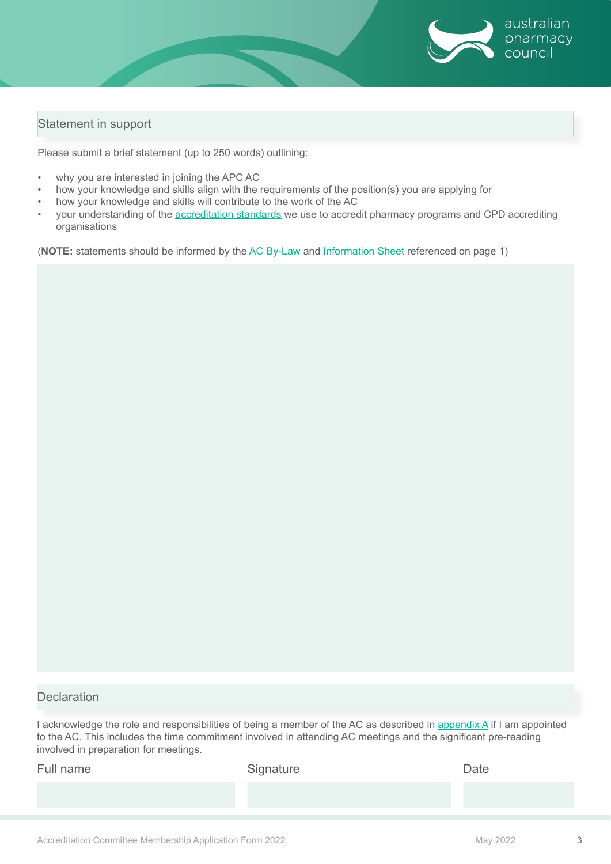

# Statement in support

Please submit a brief statement (up to 250 words) outlining:

- why you are interested in joining the APC AC
- how your knowledge and skills align with the requirements of the position(s) you are applying for
- how your knowledge and skills will contribute to the work of the AC
- your understanding of the [accreditation standards](https://www.pharmacycouncil.org.au/education-provider/standards/) we use to accredit pharmacy programs and CPD accrediting organisations

(**NOTE:** statements should be informed by the [AC By-Law](https://www.pharmacycouncil.org.au/who-we-are/governance/accreditation-committee/) and [Information Sheet](#page-3-0) referenced on page 1)

## **Declaration**

I acknowledge the role and responsibilities of being a member of the AC as described in [appendix A](#page-3-0) if I am appointed to the AC. This includes the time commitment involved in attending AC meetings and the significant pre-reading involved in preparation for meetings.

| Full name | Signature | Date |
|-----------|-----------|------|
|           |           |      |
|           |           |      |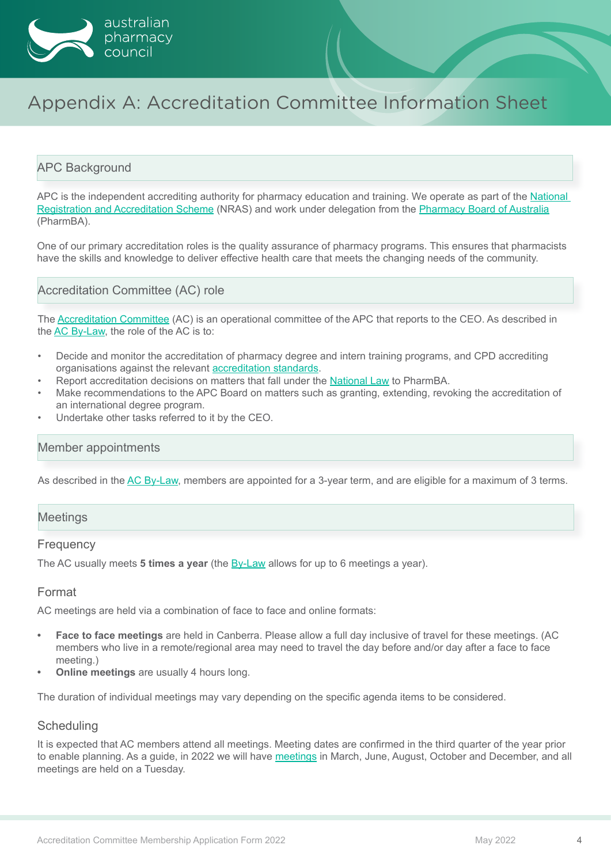<span id="page-3-0"></span>

# Appendix A: Accreditation Committee Information Sheet

### APC Background

APC is the independent accrediting authority for pharmacy education and training. We operate as part of the National [Registration and Accreditation Scheme](https://www.health.gov.au/initiatives-and-programs/national-registration-and-accreditation-scheme) (NRAS) and work under delegation from the [Pharmacy Board of Australia](https://www.pharmacyboard.gov.au/) (PharmBA).

One of our primary accreditation roles is the quality assurance of pharmacy programs. This ensures that pharmacists have the skills and knowledge to deliver effective health care that meets the changing needs of the community.

Accreditation Committee (AC) role

The [Accreditation Committee](https://www.pharmacycouncil.org.au/who-we-are/governance/accreditation-committee/) (AC) is an operational committee of the APC that reports to the CEO. As described in the [AC By-Law](https://www.pharmacycouncil.org.au/who-we-are/governance/accreditation-committee/), the role of the AC is to:

- Decide and monitor the accreditation of pharmacy degree and intern training programs, and CPD accrediting organisations against the relevant [accreditation standards](https://www.pharmacycouncil.org.au/education-provider/standards/).
- Report accreditation decisions on matters that fall under the [National Law](https://www.ahpra.gov.au/about-ahpra/what-we-do/legislation.aspx) to PharmBA.
- Make recommendations to the APC Board on matters such as granting, extending, revoking the accreditation of an international degree program.
- Undertake other tasks referred to it by the CEO.

#### Member appointments

As described in the [AC By-Law,](https://www.pharmacycouncil.org.au/who-we-are/governance/accreditation-committee/) members are appointed for a 3-year term, and are eligible for a maximum of 3 terms.

# Meetings

#### **Frequency**

The AC usually meets **5 times a year** (the [By-Law](https://www.pharmacycouncil.org.au/who-we-are/governance/accreditation-committee/) allows for up to 6 meetings a year).

### Format

AC meetings are held via a combination of face to face and online formats:

- **• Face to face meetings** are held in Canberra. Please allow a full day inclusive of travel for these meetings. (AC members who live in a remote/regional area may need to travel the day before and/or day after a face to face meeting.)
- **• Online meetings** are usually 4 hours long.

The duration of individual meetings may vary depending on the specific agenda items to be considered.

#### **Scheduling**

It is expected that AC members attend all meetings. Meeting dates are confirmed in the third quarter of the year prior to enable planning. As a guide, in 2022 we will have [meetings](https://www.pharmacycouncil.org.au/who-we-are/governance/accreditation-committee/) in March, June, August, October and December, and all meetings are held on a Tuesday.